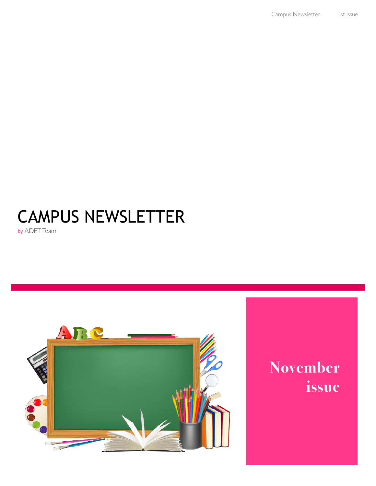# CAMPUS NEWSLETTER

by ADET Team



## **November issue**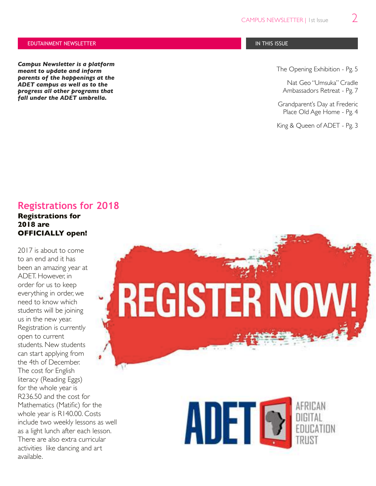#### EDUTAINMENT NEWSLETTER IN THIS ISSUE IN THIS ISSUE IN THIS ISSUE IN THIS ISSUE IN THIS ISSUE

*Campus Newsletter is a platform meant to update and inform parents of the happenings at the ADET campus as well as to the progress all other programs that fall under the ADET umbrella.*

The Opening Exhibition - Pg. 5

Nat Geo "Umsuka" Cradle Ambassadors Retreat - Pg. 7

Grandparent's Day at Frederic Place Old Age Home - Pg. 4

King & Queen of ADET - Pg. 3

### **Registrations for 2018**

**Registrations for 2018 are OFFICIALLY open!**

2017 is about to come to an end and it has been an amazing year at ADET. However, in order for us to keep everything in order, we need to know which students will be joining us in the new year. Registration is currently open to current students. New students can start applying from the 4th of December. The cost for English literacy (Reading Eggs) for the whole year is R236.50 and the cost for Mathematics (Matific) for the whole year is R140.00. Costs include two weekly lessons as well as a light lunch after each lesson. There are also extra curricular activities like dancing and art available.



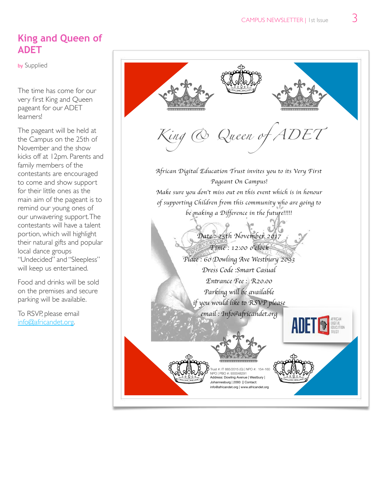### **King and Queen of ADET**

by Supplied

The time has come for our very first King and Queen pageant for our ADET learners!

The pageant will be held at the Campus on the 25th of November and the show kicks off at 12pm. Parents and family members of the contestants are encouraged to come and show support for their little ones as the main aim of the pageant is to remind our young ones of our unwavering support. The contestants will have a talent portion, which will highlight their natural gifts and popular local dance groups "Undecided" and "Sleepless" will keep us entertained.

Food and drinks will be sold on the premises and secure parking will be available.

To RSVP, please email [info@africandet.org](mailto:info@africandet.org).

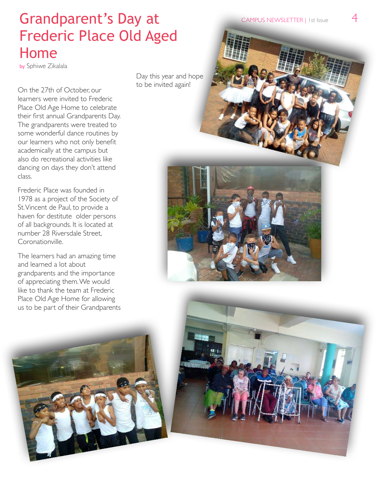### Grandparent's Day at Frederic Place Old Aged Home

by Sphiwe Zikalala

On the 27th of October, our learners were invited to Frederic Place Old Age Home to celebrate their first annual Grandparents Day. The grandparents were treated to some wonderful dance routines by our learners who not only benefit academically at the campus but also do recreational activities like dancing on days they don't attend class.

Frederic Place was founded in 1978 as a project of the Society of St. Vincent de Paul, to provide a haven for destitute older persons of all backgrounds. It is located at number 28 Riversdale Street, Coronationville.

The learners had an amazing time and learned a lot about grandparents and the importance of appreciating them. We would like to thank the team at Frederic Place Old Age Home for allowing us to be part of their Grandparents

Day this year and hope to be invited again!





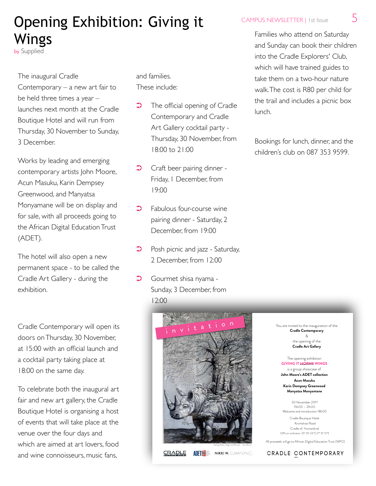### Opening Exhibition: Giving it Wings

by Supplied

#### The inaugural Cradle

Contemporary – a new art fair to be held three times a year – launches next month at the Cradle Boutique Hotel and will run from Thursday, 30 November to Sunday, 3 December.

Works by leading and emerging contemporary artists John Moore, Acun Masuku, Karin Dempsey Greenwood, and Manyatsa Monyamane will be on display and for sale, with all proceeds going to the African Digital Education Trust (ADET).

The hotel will also open a new permanent space - to be called the Cradle Art Gallery - during the exhibition.

Cradle Contemporary will open its doors on Thursday, 30 November, at 15:00 with an official launch and a cocktail party taking place at 18:00 on the same day.

To celebrate both the inaugural art fair and new art gallery, the Cradle Boutique Hotel is organising a host of events that will take place at the venue over the four days and which are aimed at art lovers, food and wine connoisseurs, music fans,

and families. These include:

- **•** The official opening of Cradle Contemporary and Cradle Art Gallery cocktail party - Thursday, 30 November, from 18:00 to 21:00
- **Craft beer pairing dinner -**Friday, 1 December, from 19:00
- $\supset$  Fabulous four-course wine pairing dinner - Saturday, 2 December, from 19:00
- **•** Posh picnic and jazz Saturday, 2 December, from 12:00
- **C** Gourmet shisa nyama -Sunday, 3 December, from 12:00



CAMPUS NEWSLETTER | 1st Issue 5

Families who attend on Saturday and Sunday can book their children into the Cradle Explorers' Club, which will have trained guides to take them on a two-hour nature walk. The cost is R80 per child for the trail and includes a picnic box lunch.

Bookings for lunch, dinner, and the children's club on 087 353 9599.

> You are invited to the inauguration of the **Cradle Contemporary**  & the opening of the **Cradle Art Gallery**

#### The opening exhibition **GIVING IT HORNS WINGS**

is a group showcase of **John Moore's ADET collection Acan Masuku Karin Dempsey Greenwood Manyatsa Monyamane** 

30 November 2017 15h00 – 21h00 Welcome and introduction 18h00

Cradle Boutique Hotel Kromdraai Road Cradle of Humankind GPS co-ordinates: 25° 55' 24''S 27° 51' 12''E

 All proceeds will go to African Digital Education Trust (NPO) Making Myths, Magic and Miracles – John Moore CRADLE CONTEMPORARY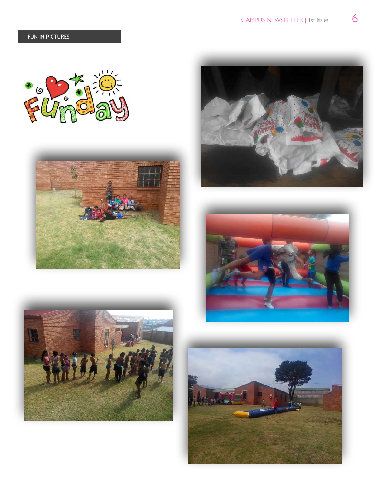









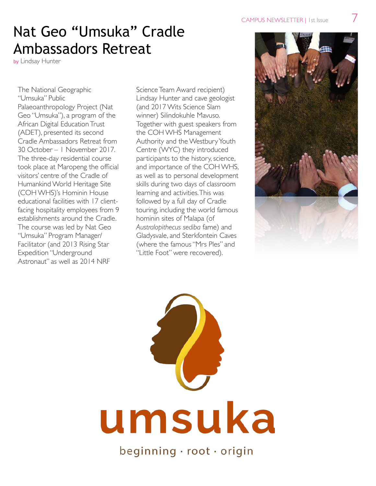### Nat Geo "Umsuka" Cradle Ambassadors Retreat

by Lindsay Hunter

The National Geographic "Umsuka" Public Palaeoanthropology Project (Nat Geo "Umsuka"), a program of the African Digital Education Trust (ADET), presented its second Cradle Ambassadors Retreat from 30 October – 1 November 2017. The three-day residential course took place at Maropeng the official visitors' centre of the Cradle of Humankind World Heritage Site (COH WHS)'s Hominin House educational facilities with 17 clientfacing hospitality employees from 9 establishments around the Cradle. The course was led by Nat Geo "Umsuka" Program Manager/ Facilitator (and 2013 Rising Star Expedition "Underground Astronaut" as well as 2014 NRF

Science Team Award recipient) Lindsay Hunter and cave geologist (and 2017 Wits Science Slam winner) Silindokuhle Mavuso. Together with guest speakers from the COH WHS Management Authority and the Westbury Youth Centre (WYC) they introduced participants to the history, science, and importance of the COH WHS, as well as to personal development skills during two days of classroom learning and activities. This was followed by a full day of Cradle touring, including the world famous hominin sites of Malapa (of *Australopithecus sediba* fame) and Gladysvale, and Sterkfontein Caves (where the famous "Mrs Ples" and "Little Foot" were recovered).